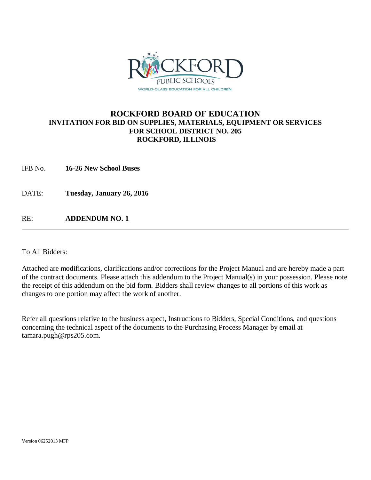

### **ROCKFORD BOARD OF EDUCATION INVITATION FOR BID ON SUPPLIES, MATERIALS, EQUIPMENT OR SERVICES FOR SCHOOL DISTRICT NO. 205 ROCKFORD, ILLINOIS**

IFB No. **16-26 New School Buses**

DATE: **Tuesday, January 26, 2016**

RE: **ADDENDUM NO. 1**

To All Bidders:

Attached are modifications, clarifications and/or corrections for the Project Manual and are hereby made a part of the contract documents. Please attach this addendum to the Project Manual(s) in your possession. Please note the receipt of this addendum on the bid form. Bidders shall review changes to all portions of this work as changes to one portion may affect the work of another.

Refer all questions relative to the business aspect, Instructions to Bidders, Special Conditions, and questions concerning the technical aspect of the documents to the Purchasing Process Manager by email at tamara.pugh@rps205.com.